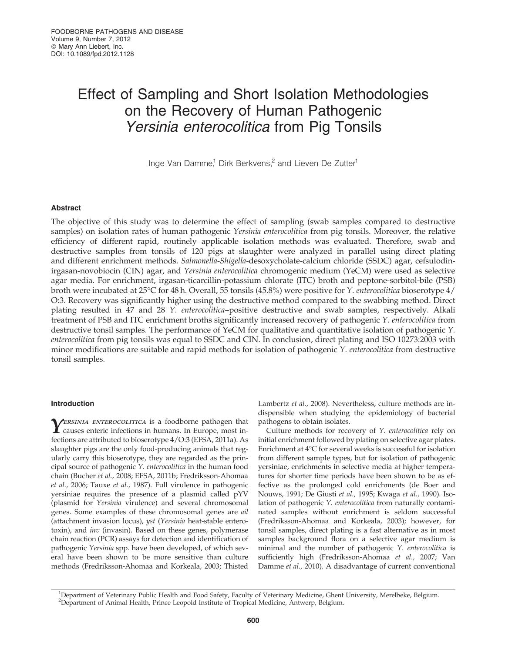# Effect of Sampling and Short Isolation Methodologies on the Recovery of Human Pathogenic Yersinia enterocolitica from Pig Tonsils

Inge Van Damme,<sup>1</sup> Dirk Berkvens,<sup>2</sup> and Lieven De Zutter<sup>1</sup>

# Abstract

The objective of this study was to determine the effect of sampling (swab samples compared to destructive samples) on isolation rates of human pathogenic *Yersinia enterocolitica* from pig tonsils. Moreover, the relative efficiency of different rapid, routinely applicable isolation methods was evaluated. Therefore, swab and destructive samples from tonsils of 120 pigs at slaughter were analyzed in parallel using direct plating and different enrichment methods. Salmonella-Shigella-desoxycholate-calcium chloride (SSDC) agar, cefsulodinirgasan-novobiocin (CIN) agar, and Yersinia enterocolitica chromogenic medium (YeCM) were used as selective agar media. For enrichment, irgasan-ticarcillin-potassium chlorate (ITC) broth and peptone-sorbitol-bile (PSB) broth were incubated at 25°C for 48 h. Overall, 55 tonsils (45.8%) were positive for *Y. enterocolitica* bioserotype 4/ O:3. Recovery was significantly higher using the destructive method compared to the swabbing method. Direct plating resulted in 47 and 28 Y. enterocolitica–positive destructive and swab samples, respectively. Alkali treatment of PSB and ITC enrichment broths significantly increased recovery of pathogenic Y. enterocolitica from destructive tonsil samples. The performance of YeCM for qualitative and quantitative isolation of pathogenic Y. enterocolitica from pig tonsils was equal to SSDC and CIN. In conclusion, direct plating and ISO 10273:2003 with minor modifications are suitable and rapid methods for isolation of pathogenic Y. enterocolitica from destructive tonsil samples.

# Introduction

 $\gamma$ ERSINIA ENTEROCOLITICA is a foodborne pathogen that<br>causes enteric infections in humans. In Europe, most infections are attributed to bioserotype 4/O:3 (EFSA, 2011a). As slaughter pigs are the only food-producing animals that regularly carry this bioserotype, they are regarded as the principal source of pathogenic Y. enterocolitica in the human food chain (Bucher et al., 2008; EFSA, 2011b; Fredriksson-Ahomaa et al., 2006; Tauxe et al., 1987). Full virulence in pathogenic yersiniae requires the presence of a plasmid called pYV (plasmid for Yersinia virulence) and several chromosomal genes. Some examples of these chromosomal genes are ail (attachment invasion locus), yst (Yersinia heat-stable enterotoxin), and inv (invasin). Based on these genes, polymerase chain reaction (PCR) assays for detection and identification of pathogenic Yersinia spp. have been developed, of which several have been shown to be more sensitive than culture methods (Fredriksson-Ahomaa and Korkeala, 2003; Thisted Lambertz et al., 2008). Nevertheless, culture methods are indispensible when studying the epidemiology of bacterial pathogens to obtain isolates.

Culture methods for recovery of Y. enterocolitica rely on initial enrichment followed by plating on selective agar plates. Enrichment at  $4^{\circ}C$  for several weeks is successful for isolation from different sample types, but for isolation of pathogenic yersiniae, enrichments in selective media at higher temperatures for shorter time periods have been shown to be as effective as the prolonged cold enrichments (de Boer and Nouws, 1991; De Giusti et al., 1995; Kwaga et al., 1990). Isolation of pathogenic Y. enterocolitica from naturally contaminated samples without enrichment is seldom successful (Fredriksson-Ahomaa and Korkeala, 2003); however, for tonsil samples, direct plating is a fast alternative as in most samples background flora on a selective agar medium is minimal and the number of pathogenic Y. enterocolitica is sufficiently high (Fredriksson-Ahomaa et al., 2007; Van Damme et al., 2010). A disadvantage of current conventional

<sup>&</sup>lt;sup>1</sup>Department of Veterinary Public Health and Food Safety, Faculty of Veterinary Medicine, Ghent University, Merelbeke, Belgium. <sup>2</sup>Department of Animal Health, Prince Leopold Institute of Tropical Medicine, Antwerp, Belgium.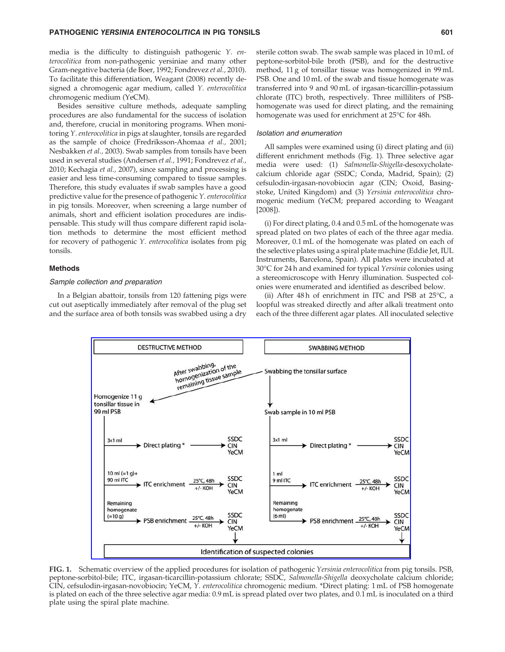media is the difficulty to distinguish pathogenic Y. enterocolitica from non-pathogenic yersiniae and many other Gram-negative bacteria (de Boer, 1992; Fondrevez et al., 2010). To facilitate this differentiation, Weagant (2008) recently designed a chromogenic agar medium, called Y. enterocolitica chromogenic medium (YeCM).

Besides sensitive culture methods, adequate sampling procedures are also fundamental for the success of isolation and, therefore, crucial in monitoring programs. When monitoring Y. enterocolitica in pigs at slaughter, tonsils are regarded as the sample of choice (Fredriksson-Ahomaa et al., 2001; Nesbakken et al., 2003). Swab samples from tonsils have been used in several studies (Andersen et al., 1991; Fondrevez et al., 2010; Kechagia et al., 2007), since sampling and processing is easier and less time-consuming compared to tissue samples. Therefore, this study evaluates if swab samples have a good predictive value for the presence of pathogenic Y. enterocolitica in pig tonsils. Moreover, when screening a large number of animals, short and efficient isolation procedures are indispensable. This study will thus compare different rapid isolation methods to determine the most efficient method for recovery of pathogenic Y. enterocolitica isolates from pig tonsils.

# Methods

#### Sample collection and preparation

In a Belgian abattoir, tonsils from 120 fattening pigs were cut out aseptically immediately after removal of the plug set and the surface area of both tonsils was swabbed using a dry sterile cotton swab. The swab sample was placed in 10 mL of peptone-sorbitol-bile broth (PSB), and for the destructive method, 11 g of tonsillar tissue was homogenized in 99 mL PSB. One and 10 mL of the swab and tissue homogenate was transferred into 9 and 90 mL of irgasan-ticarcillin-potassium chlorate (ITC) broth, respectively. Three milliliters of PSBhomogenate was used for direct plating, and the remaining homogenate was used for enrichment at 25°C for 48h.

#### Isolation and enumeration

All samples were examined using (i) direct plating and (ii) different enrichment methods (Fig. 1). Three selective agar media were used: (1) Salmonella-Shigella-desoxycholatecalcium chloride agar (SSDC; Conda, Madrid, Spain); (2) cefsulodin-irgasan-novobiocin agar (CIN; Oxoid, Basingstoke, United Kingdom) and (3) Yersinia enterocolitica chromogenic medium (YeCM; prepared according to Weagant [2008]).

(i) For direct plating, 0.4 and 0.5 mL of the homogenate was spread plated on two plates of each of the three agar media. Moreover, 0.1 mL of the homogenate was plated on each of the selective plates using a spiral plate machine (Eddie Jet, IUL Instruments, Barcelona, Spain). All plates were incubated at 30°C for 24 h and examined for typical Yersinia colonies using a stereomicroscope with Henry illumination. Suspected colonies were enumerated and identified as described below.

(ii) After 48h of enrichment in ITC and PSB at  $25^{\circ}$ C, a loopful was streaked directly and after alkali treatment onto each of the three different agar plates. All inoculated selective



FIG. 1. Schematic overview of the applied procedures for isolation of pathogenic Yersinia enterocolitica from pig tonsils. PSB, peptone-sorbitol-bile; ITC, irgasan-ticarcillin-potassium chlorate; SSDC, *Salmonella-Shigella* deoxycholate calcium chloride; CIN, cefsulodin-irgasan-novobiocin; YeCM, Y. enterocolitica chromogenic medium. \*Direct plating: 1 mL of PSB homogenate is plated on each of the three selective agar media: 0.9 mL is spread plated over two plates, and 0.1 mL is inoculated on a third plate using the spiral plate machine.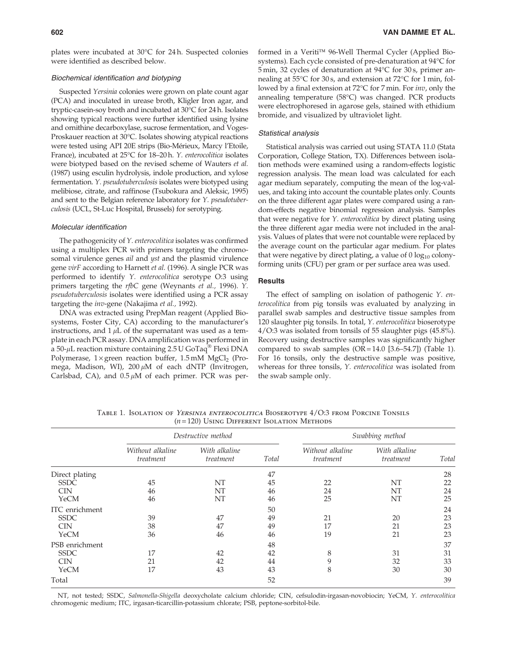plates were incubated at 30°C for 24h. Suspected colonies were identified as described below.

# Biochemical identification and biotyping

Suspected Yersinia colonies were grown on plate count agar (PCA) and inoculated in urease broth, Kligler Iron agar, and tryptic-casein-soy broth and incubated at 30°C for 24 h. Isolates showing typical reactions were further identified using lysine and ornithine decarboxylase, sucrose fermentation, and Voges-Proskauer reaction at 30°C. Isolates showing atypical reactions were tested using API 20E strips (Bio-Mérieux, Marcy l'Etoile, France), incubated at 25°C for 18–20 h. Y. enterocolitica isolates were biotyped based on the revised scheme of Wauters et al. (1987) using esculin hydrolysis, indole production, and xylose fermentation. Y. pseudotuberculosis isolates were biotyped using melibiose, citrate, and raffinose (Tsubokura and Aleksic, 1995) and sent to the Belgian reference laboratory for Y. pseudotuberculosis (UCL, St-Luc Hospital, Brussels) for serotyping.

#### Molecular identification

The pathogenicity of Y. enterocolitica isolates was confirmed using a multiplex PCR with primers targeting the chromosomal virulence genes *ail* and *yst* and the plasmid virulence gene virF according to Harnett et al. (1996). A single PCR was performed to identify Y. enterocolitica serotype O:3 using primers targeting the rfbC gene (Weynants et al., 1996). Y. pseudotuberculosis isolates were identified using a PCR assay targeting the inv-gene (Nakajima et al., 1992).

DNA was extracted using PrepMan reagent (Applied Biosystems, Foster City, CA) according to the manufacturer's instructions, and  $1 \mu$ L of the supernatant was used as a template in each PCR assay. DNA amplification was performed in a 50- $\mu$ L reaction mixture containing 2.5 U GoTaq<sup>®</sup> Flexi DNA Polymerase,  $1 \times$  green reaction buffer,  $1.5$  mM MgCl<sub>2</sub> (Promega, Madison, WI),  $200 \mu M$  of each dNTP (Invitrogen, Carlsbad, CA), and  $0.5 \mu M$  of each primer. PCR was performed in a Veriti<sup>TM</sup> 96-Well Thermal Cycler (Applied Biosystems). Each cycle consisted of pre-denaturation at 94°C for 5 min, 32 cycles of denaturation at 94°C for 30s, primer annealing at 55°C for 30s, and extension at 72°C for 1 min, followed by a final extension at 72°C for 7 min. For *inv,* only the annealing temperature (58°C) was changed. PCR products were electrophoresed in agarose gels, stained with ethidium bromide, and visualized by ultraviolet light.

#### Statistical analysis

Statistical analysis was carried out using STATA 11.0 (Stata Corporation, College Station, TX). Differences between isolation methods were examined using a random-effects logistic regression analysis. The mean load was calculated for each agar medium separately, computing the mean of the log-values, and taking into account the countable plates only. Counts on the three different agar plates were compared using a random-effects negative binomial regression analysis. Samples that were negative for Y. enterocolitica by direct plating using the three different agar media were not included in the analysis. Values of plates that were not countable were replaced by the average count on the particular agar medium. For plates that were negative by direct plating, a value of  $0 \log_{10}$  colonyforming units (CFU) per gram or per surface area was used.

# **Results**

The effect of sampling on isolation of pathogenic Y. enterocolitica from pig tonsils was evaluated by analyzing in parallel swab samples and destructive tissue samples from 120 slaughter pig tonsils. In total, Y. enterocolitica bioserotype 4/O:3 was isolated from tonsils of 55 slaughter pigs (45.8%). Recovery using destructive samples was significantly higher compared to swab samples  $(OR = 14.0 [3.6–54.7])$  (Table 1). For 16 tonsils, only the destructive sample was positive, whereas for three tonsils, Y. enterocolitica was isolated from the swab sample only.

| $(n = 120)$ USING DIFFERENT ISOLATION METHODS |                               |                            |       |                               |                            |       |
|-----------------------------------------------|-------------------------------|----------------------------|-------|-------------------------------|----------------------------|-------|
|                                               | Destructive method            |                            |       | Swabbing method               |                            |       |
|                                               | Without alkaline<br>treatment | With alkaline<br>treatment | Total | Without alkaline<br>treatment | With alkaline<br>treatment | Total |
| Direct plating                                |                               |                            | 47    |                               |                            | 28    |
| <b>SSDC</b>                                   | 45                            | NT                         | 45    | 22                            | NT                         | 22    |
| <b>CIN</b>                                    | 46                            | NT                         | 46    | 24                            | NT                         | 24    |
| YeCM                                          | 46                            | NT                         | 46    | 25                            | NT                         | 25    |
| ITC enrichment                                |                               |                            | 50    |                               |                            | 24    |
| <b>SSDC</b>                                   | 39                            | 47                         | 49    | 21                            | 20                         | 23    |
| <b>CIN</b>                                    | 38                            | 47                         | 49    | 17                            | 21                         | 23    |
| YeCM                                          | 36                            | 46                         | 46    | 19                            | 21                         | 23    |
| PSB enrichment                                |                               |                            | 48    |                               |                            | 37    |
| <b>SSDC</b>                                   | 17                            | 42                         | 42    | 8                             | 31                         | 31    |
| <b>CIN</b>                                    | 21                            | 42                         | 44    | 9                             | 32                         | 33    |
| YeCM                                          | 17                            | 43                         | 43    | 8                             | 30                         | 30    |
| Total                                         |                               |                            | 52    |                               |                            | 39    |

TABLE 1. ISOLATION OF YERSINIA ENTEROCOLITICA BIOSEROTYPE 4/O:3 FROM PORCINE TONSILS  $(n = 120)$  Using Different Isolation Methods

NT, not tested; SSDC, Salmonella-Shigella deoxycholate calcium chloride; CIN, cefsulodin-irgasan-novobiocin; YeCM, Y. enterocolitica chromogenic medium; ITC, irgasan-ticarcillin-potassium chlorate; PSB, peptone-sorbitol-bile.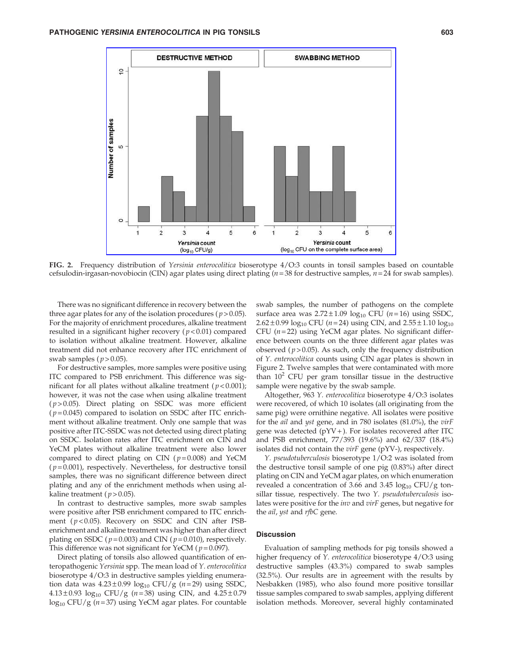

FIG. 2. Frequency distribution of Yersinia enterocolitica bioserotype 4/O:3 counts in tonsil samples based on countable cefsulodin-irgasan-novobiocin (CIN) agar plates using direct plating ( $n=38$  for destructive samples,  $n=24$  for swab samples).

There was no significant difference in recovery between the three agar plates for any of the isolation procedures ( $p > 0.05$ ). For the majority of enrichment procedures, alkaline treatment resulted in a significant higher recovery ( $p < 0.01$ ) compared to isolation without alkaline treatment. However, alkaline treatment did not enhance recovery after ITC enrichment of swab samples ( $p > 0.05$ ).

For destructive samples, more samples were positive using ITC compared to PSB enrichment. This difference was significant for all plates without alkaline treatment ( $p < 0.001$ ); however, it was not the case when using alkaline treatment ( $p > 0.05$ ). Direct plating on SSDC was more efficient  $(p=0.045)$  compared to isolation on SSDC after ITC enrichment without alkaline treatment. Only one sample that was positive after ITC-SSDC was not detected using direct plating on SSDC. Isolation rates after ITC enrichment on CIN and YeCM plates without alkaline treatment were also lower compared to direct plating on CIN ( $p = 0.008$ ) and YeCM  $(p=0.001)$ , respectively. Nevertheless, for destructive tonsil samples, there was no significant difference between direct plating and any of the enrichment methods when using alkaline treatment ( $p > 0.05$ ).

In contrast to destructive samples, more swab samples were positive after PSB enrichment compared to ITC enrichment ( $p < 0.05$ ). Recovery on SSDC and CIN after PSBenrichment and alkaline treatment was higher than after direct plating on SSDC ( $p = 0.003$ ) and CIN ( $p = 0.010$ ), respectively. This difference was not significant for YeCM ( $p = 0.097$ ).

Direct plating of tonsils also allowed quantification of enteropathogenic Yersinia spp. The mean load of Y. enterocolitica bioserotype 4/O:3 in destructive samples yielding enumeration data was  $4.23 \pm 0.99$  log<sub>10</sub> CFU/g (n=29) using SSDC,  $4.13 \pm 0.93$  log<sub>10</sub> CFU/g (n=38) using CIN, and  $4.25 \pm 0.79$  $log_{10}$  CFU/g ( $n = 37$ ) using YeCM agar plates. For countable

swab samples, the number of pathogens on the complete surface area was  $2.72 \pm 1.09 \log_{10}$  CFU (n=16) using SSDC,  $2.62 \pm 0.99 \log_{10}$  CFU (*n*=24) using CIN, and  $2.55 \pm 1.10 \log_{10}$ CFU ( $n = 22$ ) using YeCM agar plates. No significant difference between counts on the three different agar plates was observed ( $p > 0.05$ ). As such, only the frequency distribution of Y. enterocolitica counts using CIN agar plates is shown in Figure 2. Twelve samples that were contaminated with more than  $10<sup>2</sup>$  CFU per gram tonsillar tissue in the destructive sample were negative by the swab sample.

Altogether, 963 Y. enterocolitica bioserotype 4/O:3 isolates were recovered, of which 10 isolates (all originating from the same pig) were ornithine negative. All isolates were positive for the ail and yst gene, and in 780 isolates (81.0%), the virF gene was detected  $(pYV+)$ . For isolates recovered after ITC and PSB enrichment, 77/393 (19.6%) and 62/337 (18.4%) isolates did not contain the virF gene (pYV-), respectively.

Y. pseudotuberculosis bioserotype 1/O:2 was isolated from the destructive tonsil sample of one pig (0.83%) after direct plating on CIN and YeCM agar plates, on which enumeration revealed a concentration of 3.66 and 3.45  $log_{10}$  CFU/g tonsillar tissue, respectively. The two Y. pseudotuberculosis isolates were positive for the inv and virF genes, but negative for the ail, yst and rfbC gene.

# Discussion

Evaluation of sampling methods for pig tonsils showed a higher frequency of *Y. enterocolitica* bioserotype 4/O:3 using destructive samples (43.3%) compared to swab samples (32.5%). Our results are in agreement with the results by Nesbakken (1985), who also found more positive tonsillar tissue samples compared to swab samples, applying different isolation methods. Moreover, several highly contaminated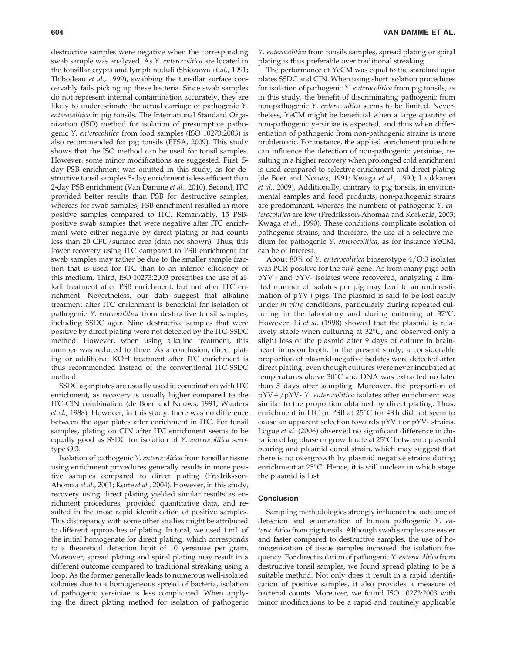destructive samples were negative when the corresponding swab sample was analyzed. As Y. enterocolitica are located in the tonsillar crypts and lymph noduli (Shiozawa et al., 1991; Thibodeau et al., 1999), swabbing the tonsillar surface conceivably fails picking up these bacteria. Since swab samples do not represent internal contamination accurately, they are likely to underestimate the actual carriage of pathogenic Y. enterocolitica in pig tonsils. The International Standard Organization (ISO) method for isolation of presumptive pathogenic Y. enterocolitica from food samples (ISO 10273:2003) is also recommended for pig tonsils (EFSA, 2009). This study shows that the ISO method can be used for tonsil samples. However, some minor modifications are suggested. First, 5 day PSB enrichment was omitted in this study, as for destructive tonsil samples 5-day enrichment is less efficient than 2-day PSB enrichment (Van Damme et al., 2010). Second, ITC provided better results than PSB for destructive samples, whereas for swab samples, PSB enrichment resulted in more positive samples compared to ITC. Remarkably, 15 PSBpositive swab samples that were negative after ITC enrichment were either negative by direct plating or had counts less than 20 CFU/surface area (data not shown). Thus, this lower recovery using ITC compared to PSB enrichment for swab samples may rather be due to the smaller sample fraction that is used for ITC than to an inferior efficiency of this medium. Third, ISO 10273:2003 prescribes the use of alkali treatment after PSB enrichment, but not after ITC enrichment. Nevertheless, our data suggest that alkaline treatment after ITC enrichment is beneficial for isolation of pathogenic Y. enterocolitica from destructive tonsil samples, including SSDC agar. Nine destructive samples that were positive by direct plating were not detected by the ITC-SSDC method. However, when using alkaline treatment, this number was reduced to three. As a conclusion, direct plating or additional KOH treatment after ITC enrichment is thus recommended instead of the conventional ITC-SSDC method.

SSDC agar plates are usually used in combination with ITC enrichment, as recovery is usually higher compared to the ITC-CIN combination (de Boer and Nouws, 1991; Wauters et al., 1988). However, in this study, there was no difference between the agar plates after enrichment in ITC. For tonsil samples, plating on CIN after ITC enrichment seems to be equally good as SSDC for isolation of Y. enterocolitica serotype O:3.

Isolation of pathogenic Y. enterocolitica from tonsillar tissue using enrichment procedures generally results in more positive samples compared to direct plating (Fredriksson-Ahomaa et al., 2001; Korte et al., 2004). However, in this study, recovery using direct plating yielded similar results as enrichment procedures, provided quantitative data, and resulted in the most rapid identification of positive samples. This discrepancy with some other studies might be attributed to different approaches of plating. In total, we used 1 mL of the initial homogenate for direct plating, which corresponds to a theoretical detection limit of 10 yersiniae per gram. Moreover, spread plating and spiral plating may result in a different outcome compared to traditional streaking using a loop. As the former generally leads to numerous well-isolated colonies due to a homogeneous spread of bacteria, isolation of pathogenic yersiniae is less complicated. When applying the direct plating method for isolation of pathogenic Y. enterocolitica from tonsils samples, spread plating or spiral plating is thus preferable over traditional streaking.

The performance of YeCM was equal to the standard agar plates SSDC and CIN. When using short isolation procedures for isolation of pathogenic Y. enterocolitica from pig tonsils, as in this study, the benefit of discriminating pathogenic from non-pathogenic Y. enterocolitica seems to be limited. Nevertheless, YeCM might be beneficial when a large quantity of non-pathogenic yersiniae is expected, and thus when differentiation of pathogenic from non-pathogenic strains is more problematic. For instance, the applied enrichment procedure can influence the detection of non-pathogenic yersiniae, resulting in a higher recovery when prolonged cold enrichment is used compared to selective enrichment and direct plating (de Boer and Nouws, 1991; Kwaga et al., 1990; Laukkanen et al., 2009). Additionally, contrary to pig tonsils, in environmental samples and food products, non-pathogenic strains are predominant, whereas the numbers of pathogenic Y. enterocolitica are low (Fredriksson-Ahomaa and Korkeala, 2003; Kwaga et al., 1990). These conditions complicate isolation of pathogenic strains, and therefore, the use of a selective medium for pathogenic Y. enterocolitica, as for instance YeCM, can be of interest.

About 80% of Y. enterocolitica bioserotype 4/O:3 isolates was PCR-positive for the *virF* gene. As from many pigs both pYV + and pYV- isolates were recovered, analyzing a limited number of isolates per pig may lead to an underestimation of  $pYV + pigs.$  The plasmid is said to be lost easily under in vitro conditions, particularly during repeated culturing in the laboratory and during culturing at 37°C. However, Li et al. (1998) showed that the plasmid is relatively stable when culturing at 32°C, and observed only a slight loss of the plasmid after 9 days of culture in brainheart infusion broth. In the present study, a considerable proportion of plasmid-negative isolates were detected after direct plating, even though cultures were never incubated at temperatures above 30°C and DNA was extracted no later than 5 days after sampling. Moreover, the proportion of pYV + /pYV- Y. enterocolitica isolates after enrichment was similar to the proportion obtained by direct plating. Thus, enrichment in ITC or PSB at 25°C for 48h did not seem to cause an apparent selection towards  $pYV + or pYV$ - strains. Logue et al. (2006) observed no significant difference in duration of lag phase or growth rate at 25°C between a plasmid bearing and plasmid cured strain, which may suggest that there is no overgrowth by plasmid negative strains during enrichment at 25°C. Hence, it is still unclear in which stage the plasmid is lost.

#### Conclusion

Sampling methodologies strongly influence the outcome of detection and enumeration of human pathogenic Y. enterocolitica from pig tonsils. Although swab samples are easier and faster compared to destructive samples, the use of homogenization of tissue samples increased the isolation frequency. For direct isolation of pathogenic Y. enterocolitica from destructive tonsil samples, we found spread plating to be a suitable method. Not only does it result in a rapid identification of positive samples, it also provides a measure of bacterial counts. Moreover, we found ISO 10273:2003 with minor modifications to be a rapid and routinely applicable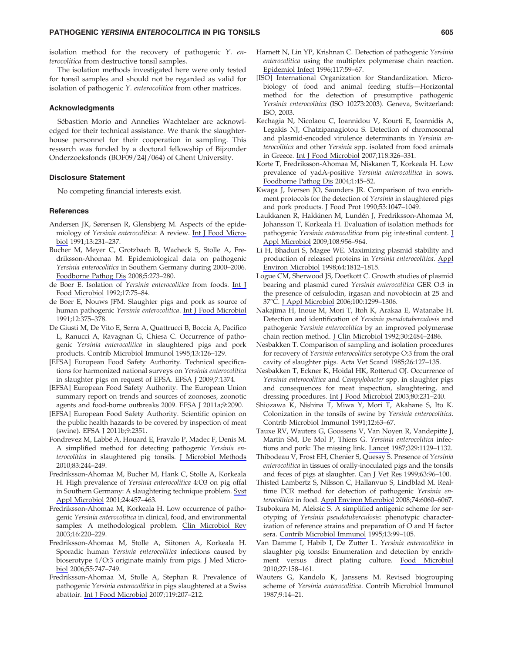isolation method for the recovery of pathogenic Y. enterocolitica from destructive tonsil samples.

The isolation methods investigated here were only tested for tonsil samples and should not be regarded as valid for isolation of pathogenic Y. enterocolitica from other matrices.

#### Acknowledgments

Sébastien Morio and Annelies Wachtelaer are acknowledged for their technical assistance. We thank the slaughterhouse personnel for their cooperation in sampling. This research was funded by a doctoral fellowship of Bijzonder Onderzoeksfonds (BOF09/24J/064) of Ghent University.

#### Disclosure Statement

No competing financial interests exist.

#### **References**

- Andersen JK, Sørensen R, Glensbjerg M. Aspects of the epidemiology of Yersinia enterocolitica: A review. Int J Food Microbiol 1991;13:231–237.
- Bucher M, Meyer C, Grotzbach B, Wacheck S, Stolle A, Fredriksson-Ahomaa M. Epidemiological data on pathogenic Yersinia enterocolitica in Southern Germany during 2000–2006. Foodborne Pathog Dis 2008;5:273–280.
- de Boer E. Isolation of Yersinia enterocolitica from foods. Int J Food Microbiol 1992;17:75–84.
- de Boer E, Nouws JFM. Slaughter pigs and pork as source of human pathogenic Yersinia enterocolitica. Int J Food Microbiol 1991;12:375–378.
- De Giusti M, De Vito E, Serra A, Quattrucci B, Boccia A, Pacifico L, Ranucci A, Ravagnan G, Chiesa C. Occurrence of pathogenic Yersinia enterocolitica in slaughtered pigs and pork products. Contrib Microbiol Immunol 1995;13:126–129.
- [EFSA] European Food Safety Authority. Technical specifications for harmonized national surveys on Yersinia enterocolitica in slaughter pigs on request of EFSA. EFSA J 2009;7:1374.
- [EFSA] European Food Safety Authority. The European Union summary report on trends and sources of zoonoses, zoonotic agents and food-borne outbreaks 2009. EFSA J 2011a;9:2090.
- [EFSA] European Food Safety Authority. Scientific opinion on the public health hazards to be covered by inspection of meat (swine). EFSA J 2011b;9:2351.
- Fondrevez M, Labbé A, Houard E, Fravalo P, Madec F, Denis M. A simplified method for detecting pathogenic Yersinia enterocolitica in slaughtered pig tonsils. J Microbiol Methods 2010;83:244–249.
- Fredriksson-Ahomaa M, Bucher M, Hank C, Stolle A, Korkeala H. High prevalence of Yersinia enterocolitica 4:O3 on pig offal in Southern Germany: A slaughtering technique problem. Syst Appl Microbiol 2001;24:457–463.
- Fredriksson-Ahomaa M, Korkeala H. Low occurrence of pathogenic Yersinia enterocolitica in clinical, food, and environmental samples: A methodological problem. Clin Microbiol Rev 2003;16:220–229.
- Fredriksson-Ahomaa M, Stolle A, Siitonen A, Korkeala H. Sporadic human Yersinia enterocolitica infections caused by bioserotype 4/O:3 originate mainly from pigs. J Med Microbiol 2006;55:747–749.
- Fredriksson-Ahomaa M, Stolle A, Stephan R. Prevalence of pathogenic Yersinia enterocolitica in pigs slaughtered at a Swiss abattoir. Int J Food Microbiol 2007;119:207–212.
- Harnett N, Lin YP, Krishnan C. Detection of pathogenic Yersinia enterocolitica using the multiplex polymerase chain reaction. Epidemiol Infect 1996;117:59–67.
- [ISO] International Organization for Standardization. Microbiology of food and animal feeding stuffs—Horizontal method for the detection of presumptive pathogenic Yersinia enterocolitica (ISO 10273:2003). Geneva, Switzerland: ISO, 2003.
- Kechagia N, Nicolaou C, Ioannidou V, Kourti E, Ioannidis A, Legakis NJ, Chatzipanagiotou S. Detection of chromosomal and plasmid-encoded virulence determinants in Yersinia enterocolitica and other Yersinia spp. isolated from food animals in Greece. Int J Food Microbiol 2007;118:326–331.
- Korte T, Fredriksson-Ahomaa M, Niskanen T, Korkeala H. Low prevalence of yadA-positive Yersinia enterocolitica in sows. Foodborne Pathog Dis 2004;1:45–52.
- Kwaga J, Iversen JO, Saunders JR. Comparison of two enrichment protocols for the detection of Yersinia in slaughtered pigs and pork products. J Food Prot 1990;53:1047–1049.
- Laukkanen R, Hakkinen M, Lundén J, Fredriksson-Ahomaa M, Johansson T, Korkeala H. Evaluation of isolation methods for pathogenic Yersinia enterocolitica from pig intestinal content. J Appl Microbiol 2009;108:956–964.
- Li H, Bhaduri S, Magee WE. Maximizing plasmid stability and production of released proteins in Yersinia enterocolitica. Appl Environ Microbiol 1998;64:1812–1815.
- Logue CM, Sherwood JS, Doetkott C. Growth studies of plasmid bearing and plasmid cured Yersinia enterocolitica GER O:3 in the presence of cefsulodin, irgasan and novobiocin at 25 and 37°C. <u>J Appl Microbiol</u> 2006;100:1299–1306.
- Nakajima H, Inoue M, Mori T, Itoh K, Arakaa E, Watanabe H. Detection and identification of Yersinia pseudotuberculosis and pathogenic Yersinia enterocolitica by an improved polymerase chain rection method. J Clin Microbiol 1992;30:2484–2486.
- Nesbakken T. Comparison of sampling and isolation procedures for recovery of Yersinia enterocolitica serotype O:3 from the oral cavity of slaughter pigs. Acta Vet Scand 1985;26:127–135.
- Nesbakken T, Eckner K, Hoidal HK, Rotterud OJ. Occurrence of Yersinia enterocolitica and Campylobacter spp. in slaughter pigs and consequences for meat inspection, slaughtering, and dressing procedures. Int J Food Microbiol 2003;80:231–240.
- Shiozawa K, Nishina T, Miwa Y, Mori T, Akahane S, Ito K. Colonization in the tonsils of swine by Yersinia enterocolitica. Contrib Microbiol Immunol 1991;12:63–67.
- Tauxe RV, Wauters G, Goossens V, Van Noyen R, Vandepitte J, Martin SM, De Mol P, Thiers G. Yersinia enterocolitica infections and pork: The missing link. Lancet 1987;329:1129–1132.
- Thibodeau V, Frost EH, Chenier S, Quessy S. Presence of Yersinia enterocolitica in tissues of orally-inoculated pigs and the tonsils and feces of pigs at slaughter. Can J Vet Res 1999;63:96–100.
- Thisted Lambertz S, Nilsson C, Hallanvuo S, Lindblad M. Realtime PCR method for detection of pathogenic Yersinia enterocolitica in food. Appl Environ Microbiol 2008;74:6060–6067.
- Tsubokura M, Aleksic S. A simplified antigenic scheme for serotyping of Yersinia pseudotuberculosis: phenotypic characterization of reference strains and preparation of O and H factor sera. Contrib Microbiol Immunol 1995;13:99–105.
- Van Damme I, Habib I, De Zutter L. Yersinia enterocolitica in slaughter pig tonsils: Enumeration and detection by enrichment versus direct plating culture. Food Microbiol 2010;27:158–161.
- Wauters G, Kandolo K, Janssens M. Revised biogrouping scheme of Yersinia enterocolitica. Contrib Microbiol Immunol 1987;9:14–21.